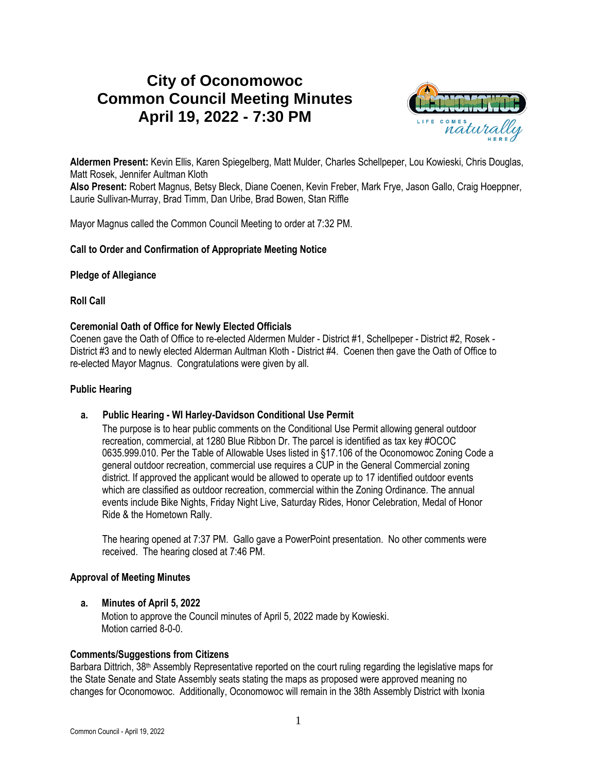# **City of Oconomowoc Common Council Meeting Minutes April 19, 2022 - 7:30 PM**



**Aldermen Present:** Kevin Ellis, Karen Spiegelberg, Matt Mulder, Charles Schellpeper, Lou Kowieski, Chris Douglas, Matt Rosek, Jennifer Aultman Kloth

**Also Present:** Robert Magnus, Betsy Bleck, Diane Coenen, Kevin Freber, Mark Frye, Jason Gallo, Craig Hoeppner, Laurie Sullivan-Murray, Brad Timm, Dan Uribe, Brad Bowen, Stan Riffle

Mayor Magnus called the Common Council Meeting to order at 7:32 PM.

## **Call to Order and Confirmation of Appropriate Meeting Notice**

#### **Pledge of Allegiance**

**Roll Call**

## **Ceremonial Oath of Office for Newly Elected Officials**

Coenen gave the Oath of Office to re-elected Aldermen Mulder - District #1, Schellpeper - District #2, Rosek - District #3 and to newly elected Alderman Aultman Kloth - District #4. Coenen then gave the Oath of Office to re-elected Mayor Magnus. Congratulations were given by all.

#### **Public Hearing**

## **a. Public Hearing - WI Harley-Davidson Conditional Use Permit**

The purpose is to hear public comments on the Conditional Use Permit allowing general outdoor recreation, commercial, at 1280 Blue Ribbon Dr. The parcel is identified as tax key #OCOC 0635.999.010. Per the Table of Allowable Uses listed in §17.106 of the Oconomowoc Zoning Code a general outdoor recreation, commercial use requires a CUP in the General Commercial zoning district. If approved the applicant would be allowed to operate up to 17 identified outdoor events which are classified as outdoor recreation, commercial within the Zoning Ordinance. The annual events include Bike Nights, Friday Night Live, Saturday Rides, Honor Celebration, Medal of Honor Ride & the Hometown Rally.

The hearing opened at 7:37 PM. Gallo gave a PowerPoint presentation. No other comments were received. The hearing closed at 7:46 PM.

## **Approval of Meeting Minutes**

#### **a. Minutes of April 5, 2022**

Motion to approve the Council minutes of April 5, 2022 made by Kowieski. Motion carried 8-0-0.

## **Comments/Suggestions from Citizens**

Barbara Dittrich, 38<sup>th</sup> Assembly Representative reported on the court ruling regarding the legislative maps for the State Senate and State Assembly seats stating the maps as proposed were approved meaning no changes for Oconomowoc. Additionally, Oconomowoc will remain in the 38th Assembly District with Ixonia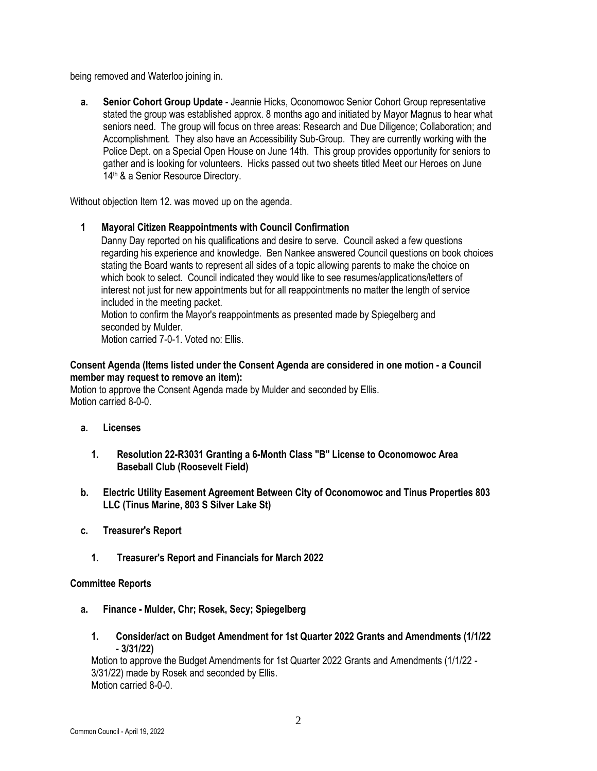being removed and Waterloo joining in.

**a. Senior Cohort Group Update -** Jeannie Hicks, Oconomowoc Senior Cohort Group representative stated the group was established approx. 8 months ago and initiated by Mayor Magnus to hear what seniors need. The group will focus on three areas: Research and Due Diligence; Collaboration; and Accomplishment. They also have an Accessibility Sub-Group. They are currently working with the Police Dept. on a Special Open House on June 14th. This group provides opportunity for seniors to gather and is looking for volunteers. Hicks passed out two sheets titled Meet our Heroes on June 14<sup>th</sup> & a Senior Resource Directory.

Without objection Item 12. was moved up on the agenda.

**1 Mayoral Citizen Reappointments with Council Confirmation**

Danny Day reported on his qualifications and desire to serve. Council asked a few questions regarding his experience and knowledge. Ben Nankee answered Council questions on book choices stating the Board wants to represent all sides of a topic allowing parents to make the choice on which book to select. Council indicated they would like to see resumes/applications/letters of interest not just for new appointments but for all reappointments no matter the length of service included in the meeting packet.

Motion to confirm the Mayor's reappointments as presented made by Spiegelberg and seconded by Mulder.

Motion carried 7-0-1. Voted no: Ellis.

# **Consent Agenda (Items listed under the Consent Agenda are considered in one motion - a Council member may request to remove an item):**

Motion to approve the Consent Agenda made by Mulder and seconded by Ellis. Motion carried 8-0-0.

- **a. Licenses**
	- **1. Resolution 22-R3031 Granting a 6-Month Class "B" License to Oconomowoc Area Baseball Club (Roosevelt Field)**
- **b. Electric Utility Easement Agreement Between City of Oconomowoc and Tinus Properties 803 LLC (Tinus Marine, 803 S Silver Lake St)**
- **c. Treasurer's Report**
	- **1. Treasurer's Report and Financials for March 2022**

## **Committee Reports**

- **a. Finance - Mulder, Chr; Rosek, Secy; Spiegelberg**
	- **1. Consider/act on Budget Amendment for 1st Quarter 2022 Grants and Amendments (1/1/22 - 3/31/22)**

Motion to approve the Budget Amendments for 1st Quarter 2022 Grants and Amendments (1/1/22 - 3/31/22) made by Rosek and seconded by Ellis. Motion carried 8-0-0.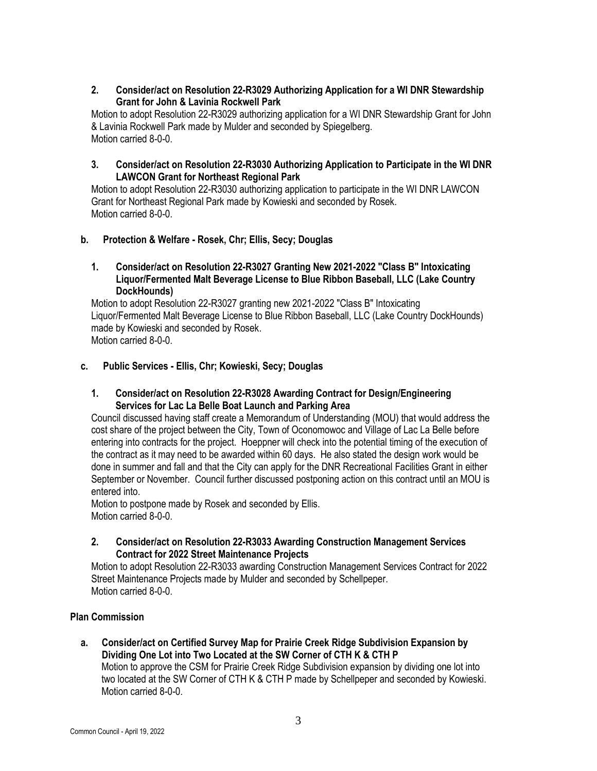# **2. Consider/act on Resolution 22-R3029 Authorizing Application for a WI DNR Stewardship Grant for John & Lavinia Rockwell Park**

Motion to adopt Resolution 22-R3029 authorizing application for a WI DNR Stewardship Grant for John & Lavinia Rockwell Park made by Mulder and seconded by Spiegelberg. Motion carried 8-0-0.

# **3. Consider/act on Resolution 22-R3030 Authorizing Application to Participate in the WI DNR LAWCON Grant for Northeast Regional Park**

Motion to adopt Resolution 22-R3030 authorizing application to participate in the WI DNR LAWCON Grant for Northeast Regional Park made by Kowieski and seconded by Rosek. Motion carried 8-0-0.

# **b. Protection & Welfare - Rosek, Chr; Ellis, Secy; Douglas**

# **1. Consider/act on Resolution 22-R3027 Granting New 2021-2022 "Class B" Intoxicating Liquor/Fermented Malt Beverage License to Blue Ribbon Baseball, LLC (Lake Country DockHounds)**

Motion to adopt Resolution 22-R3027 granting new 2021-2022 "Class B" Intoxicating Liquor/Fermented Malt Beverage License to Blue Ribbon Baseball, LLC (Lake Country DockHounds) made by Kowieski and seconded by Rosek. Motion carried 8-0-0.

# **c. Public Services - Ellis, Chr; Kowieski, Secy; Douglas**

# **1. Consider/act on Resolution 22-R3028 Awarding Contract for Design/Engineering Services for Lac La Belle Boat Launch and Parking Area**

Council discussed having staff create a Memorandum of Understanding (MOU) that would address the cost share of the project between the City, Town of Oconomowoc and Village of Lac La Belle before entering into contracts for the project. Hoeppner will check into the potential timing of the execution of the contract as it may need to be awarded within 60 days. He also stated the design work would be done in summer and fall and that the City can apply for the DNR Recreational Facilities Grant in either September or November. Council further discussed postponing action on this contract until an MOU is entered into.

Motion to postpone made by Rosek and seconded by Ellis. Motion carried 8-0-0.

# **2. Consider/act on Resolution 22-R3033 Awarding Construction Management Services Contract for 2022 Street Maintenance Projects**

Motion to adopt Resolution 22-R3033 awarding Construction Management Services Contract for 2022 Street Maintenance Projects made by Mulder and seconded by Schellpeper. Motion carried 8-0-0.

# **Plan Commission**

**a. Consider/act on Certified Survey Map for Prairie Creek Ridge Subdivision Expansion by Dividing One Lot into Two Located at the SW Corner of CTH K & CTH P** Motion to approve the CSM for Prairie Creek Ridge Subdivision expansion by dividing one lot into two located at the SW Corner of CTH K & CTH P made by Schellpeper and seconded by Kowieski. Motion carried 8-0-0.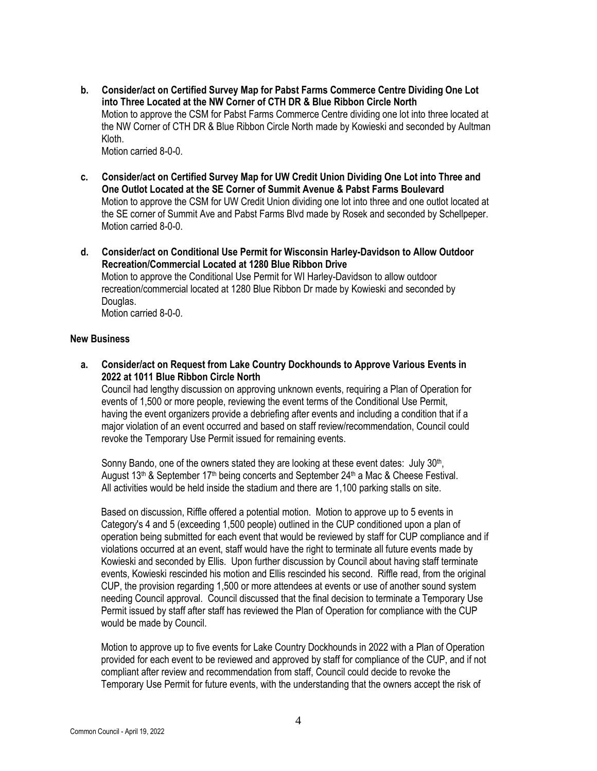- **b. Consider/act on Certified Survey Map for Pabst Farms Commerce Centre Dividing One Lot into Three Located at the NW Corner of CTH DR & Blue Ribbon Circle North** Motion to approve the CSM for Pabst Farms Commerce Centre dividing one lot into three located at the NW Corner of CTH DR & Blue Ribbon Circle North made by Kowieski and seconded by Aultman Kloth. Motion carried 8-0-0.
- **c. Consider/act on Certified Survey Map for UW Credit Union Dividing One Lot into Three and One Outlot Located at the SE Corner of Summit Avenue & Pabst Farms Boulevard** Motion to approve the CSM for UW Credit Union dividing one lot into three and one outlot located at the SE corner of Summit Ave and Pabst Farms Blvd made by Rosek and seconded by Schellpeper. Motion carried 8-0-0.
- **d. Consider/act on Conditional Use Permit for Wisconsin Harley-Davidson to Allow Outdoor Recreation/Commercial Located at 1280 Blue Ribbon Drive** Motion to approve the Conditional Use Permit for WI Harley-Davidson to allow outdoor recreation/commercial located at 1280 Blue Ribbon Dr made by Kowieski and seconded by Douglas. Motion carried 8-0-0.

#### **New Business**

**a. Consider/act on Request from Lake Country Dockhounds to Approve Various Events in 2022 at 1011 Blue Ribbon Circle North**

Council had lengthy discussion on approving unknown events, requiring a Plan of Operation for events of 1,500 or more people, reviewing the event terms of the Conditional Use Permit, having the event organizers provide a debriefing after events and including a condition that if a major violation of an event occurred and based on staff review/recommendation, Council could revoke the Temporary Use Permit issued for remaining events.

Sonny Bando, one of the owners stated they are looking at these event dates: July 30<sup>th</sup>, August 13<sup>th</sup> & September 17<sup>th</sup> being concerts and September 24<sup>th</sup> a Mac & Cheese Festival. All activities would be held inside the stadium and there are 1,100 parking stalls on site.

Based on discussion, Riffle offered a potential motion. Motion to approve up to 5 events in Category's 4 and 5 (exceeding 1,500 people) outlined in the CUP conditioned upon a plan of operation being submitted for each event that would be reviewed by staff for CUP compliance and if violations occurred at an event, staff would have the right to terminate all future events made by Kowieski and seconded by Ellis. Upon further discussion by Council about having staff terminate events, Kowieski rescinded his motion and Ellis rescinded his second. Riffle read, from the original CUP, the provision regarding 1,500 or more attendees at events or use of another sound system needing Council approval. Council discussed that the final decision to terminate a Temporary Use Permit issued by staff after staff has reviewed the Plan of Operation for compliance with the CUP would be made by Council.

Motion to approve up to five events for Lake Country Dockhounds in 2022 with a Plan of Operation provided for each event to be reviewed and approved by staff for compliance of the CUP, and if not compliant after review and recommendation from staff, Council could decide to revoke the Temporary Use Permit for future events, with the understanding that the owners accept the risk of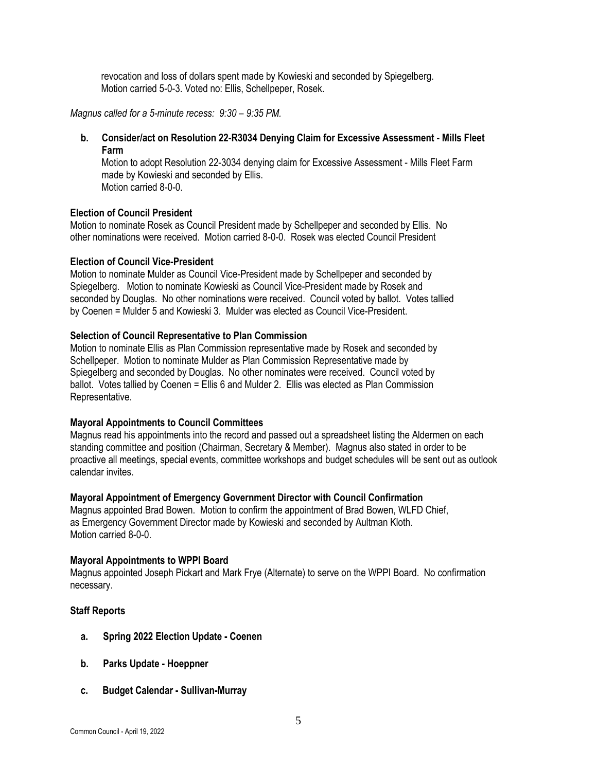revocation and loss of dollars spent made by Kowieski and seconded by Spiegelberg. Motion carried 5-0-3. Voted no: Ellis, Schellpeper, Rosek.

*Magnus called for a 5-minute recess:*  $9:30 - 9:35$  *PM.* 

**b. Consider/act on Resolution 22-R3034 Denying Claim for Excessive Assessment - Mills Fleet Farm**

Motion to adopt Resolution 22-3034 denying claim for Excessive Assessment - Mills Fleet Farm made by Kowieski and seconded by Ellis. Motion carried 8-0-0.

## **Election of Council President**

Motion to nominate Rosek as Council President made by Schellpeper and seconded by Ellis. No other nominations were received. Motion carried 8-0-0. Rosek was elected Council President

#### **Election of Council Vice-President**

Motion to nominate Mulder as Council Vice-President made by Schellpeper and seconded by Spiegelberg. Motion to nominate Kowieski as Council Vice-President made by Rosek and seconded by Douglas. No other nominations were received. Council voted by ballot. Votes tallied by Coenen = Mulder 5 and Kowieski 3. Mulder was elected as Council Vice-President.

## **Selection of Council Representative to Plan Commission**

Motion to nominate Ellis as Plan Commission representative made by Rosek and seconded by Schellpeper. Motion to nominate Mulder as Plan Commission Representative made by Spiegelberg and seconded by Douglas. No other nominates were received. Council voted by ballot. Votes tallied by Coenen = Ellis 6 and Mulder 2. Ellis was elected as Plan Commission Representative.

## **Mayoral Appointments to Council Committees**

Magnus read his appointments into the record and passed out a spreadsheet listing the Aldermen on each standing committee and position (Chairman, Secretary & Member). Magnus also stated in order to be proactive all meetings, special events, committee workshops and budget schedules will be sent out as outlook calendar invites.

## **Mayoral Appointment of Emergency Government Director with Council Confirmation**

Magnus appointed Brad Bowen. Motion to confirm the appointment of Brad Bowen, WLFD Chief, as Emergency Government Director made by Kowieski and seconded by Aultman Kloth. Motion carried 8-0-0.

## **Mayoral Appointments to WPPI Board**

Magnus appointed Joseph Pickart and Mark Frye (Alternate) to serve on the WPPI Board. No confirmation necessary.

#### **Staff Reports**

- **a. Spring 2022 Election Update - Coenen**
- **b. Parks Update - Hoeppner**
- **c. Budget Calendar - Sullivan-Murray**